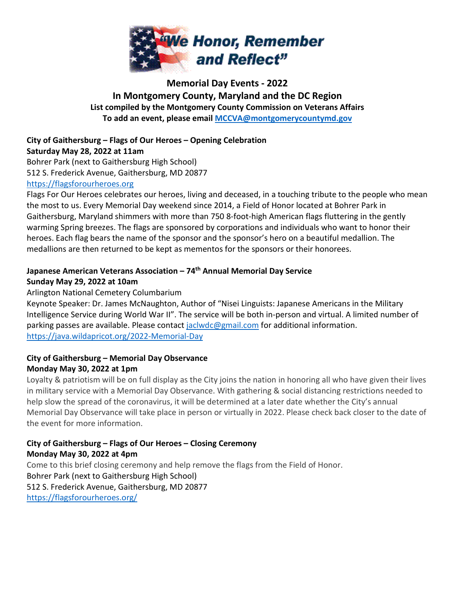

# **Memorial Day Events - 2022 In Montgomery County, Maryland and the DC Region List compiled by the Montgomery County Commission on Veterans Affairs To add an event, please email [MCCVA@montgomerycountymd.gov](mailto:MCCVA@montgomerycountymd.gov)**

#### **City of Gaithersburg – Flags of Our Heroes – Opening Celebration Saturday May 28, 2022 at 11am**

Bohrer Park (next to Gaithersburg High School) 512 S. Frederick Avenue, Gaithersburg, MD 20877

#### [https://flagsforourheroes.org](https://flagsforourheroes.org/)

Flags For Our Heroes celebrates our heroes, living and deceased, in a touching tribute to the people who mean the most to us. Every Memorial Day weekend since 2014, a Field of Honor located at Bohrer Park in Gaithersburg, Maryland shimmers with more than 750 8-foot-high American flags fluttering in the gently warming Spring breezes. The flags are sponsored by corporations and individuals who want to honor their heroes. Each flag bears the name of the sponsor and the sponsor's hero on a beautiful medallion. The medallions are then returned to be kept as mementos for the sponsors or their honorees.

# **Japanese American Veterans Association – 74th Annual Memorial Day Service Sunday May 29, 2022 at 10am**

#### Arlington National Cemetery Columbarium

Keynote Speaker: Dr. James McNaughton, Author of "Nisei Linguists: Japanese Americans in the Military Intelligence Service during World War II". The service will be both in-person and virtual. A limited number of parking passes are available. Please contact [jaclwdc@gmail.com](mailto:jaclwdc@gmail.com) for additional information. <https://java.wildapricot.org/2022-Memorial-Day>

#### **City of Gaithersburg – Memorial Day Observance Monday May 30, 2022 at 1pm**

Loyalty & patriotism will be on full display as the City joins the nation in honoring all who have given their lives in military service with a Memorial Day Observance. With gathering & social distancing restrictions needed to help slow the spread of the coronavirus, it will be determined at a later date whether the City's annual Memorial Day Observance will take place in person or virtually in 2022. Please check back closer to the date of the event for more information.

#### **City of Gaithersburg – Flags of Our Heroes – Closing Ceremony Monday May 30, 2022 at 4pm**

Come to this brief closing ceremony and help remove the flags from the Field of Honor. Bohrer Park (next to Gaithersburg High School) 512 S. Frederick Avenue, Gaithersburg, MD 20877 <https://flagsforourheroes.org/>